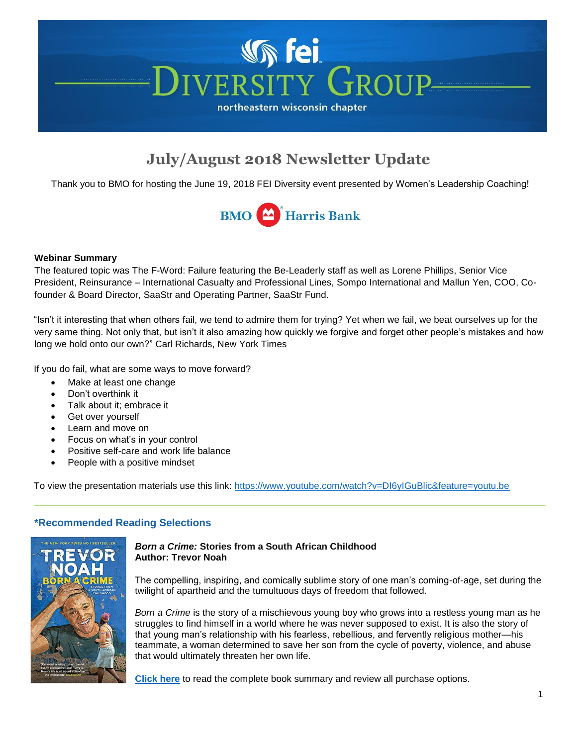# **Vh fei IVERSITY GROUP** northeastern wisconsin chapter

# **July/August 2018 Newsletter Update**

Thank you to BMO for hosting the June 19, 2018 FEI Diversity event presented by Women's Leadership Coaching!



#### **Webinar Summary**

The featured topic was The F-Word: Failure featuring the Be-Leaderly staff as well as Lorene Phillips, Senior Vice President, Reinsurance – International Casualty and Professional Lines, Sompo International and Mallun Yen, COO, Cofounder & Board Director, SaaStr and Operating Partner, SaaStr Fund.

"Isn't it interesting that when others fail, we tend to admire them for trying? Yet when we fail, we beat ourselves up for the very same thing. Not only that, but isn't it also amazing how quickly we forgive and forget other people's mistakes and how long we hold onto our own?" Carl Richards, New York Times

If you do fail, what are some ways to move forward?

- Make at least one change
- Don't overthink it
- Talk about it; embrace it
- Get over yourself
- Learn and move on
- Focus on what's in your control
- Positive self-care and work life balance
- People with a positive mindset

To view the presentation materials use this link:<https://www.youtube.com/watch?v=DI6yIGuBlic&feature=youtu.be>

## **\*Recommended Reading Selections**



#### *Born a Crime:* **Stories from a South African Childhood Author: Trevor Noah**

The compelling, inspiring, and comically sublime story of one man's coming-of-age, set during the twilight of apartheid and the tumultuous days of freedom that followed.

*Born a Crime* is the story of a mischievous young boy who grows into a restless young man as he struggles to find himself in a world where he was never supposed to exist. It is also the story of that young man's relationship with his fearless, rebellious, and fervently religious mother—his teammate, a woman determined to save her son from the cycle of poverty, violence, and abuse that would ultimately threaten her own life.

**[Click here](https://www.amazon.com/Born-Crime-Stories-African-Childhood/dp/1473635306/ref=sr_1_1?ie=UTF8&qid=1532525166&sr=8-1&keywords=born+a+crime+-+trevor+noah)** to read the complete book summary and review all purchase options.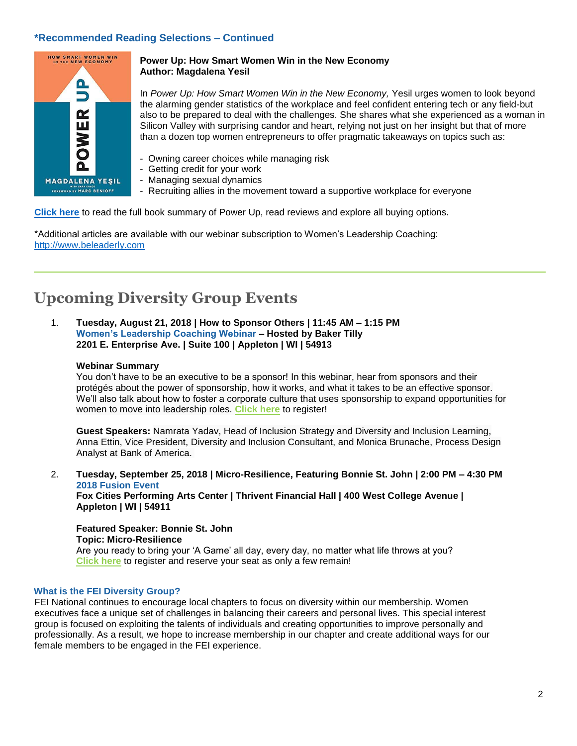### **\*Recommended Reading Selections – Continued**



#### **Power Up: How Smart Women Win in the New Economy Author: Magdalena Yesil**

In *Power Up: How Smart Women Win in the New Economy,* Yesil urges women to look beyond the alarming gender statistics of the workplace and feel confident entering tech or any field-but also to be prepared to deal with the challenges. She shares what she experienced as a woman in Silicon Valley with surprising candor and heart, relying not just on her insight but that of more than a dozen top women entrepreneurs to offer pragmatic takeaways on topics such as:

- Owning career choices while managing risk
- Getting credit for your work
- Managing sexual dynamics
- Recruiting allies in the movement toward a supportive workplace for everyone

**[Click here](https://www.amazon.com/Power-Up-Smart-Women-Economy/dp/1580056911/ref=sr_1_1?s=books&ie=UTF8&qid=1532525510&sr=1-1&keywords=PowerUp%2C+by+Magdalena+Yesil)** to read the full book summary of Power Up, read reviews and explore all buying options.

\*Additional articles are available with our webinar subscription to Women's Leadership Coaching: [http://www.beleaderly.com](http://www.beleaderly.com/)

## **Upcoming Diversity Group Events**

1. **Tuesday, August 21, 2018 | How to Sponsor Others | 11:45 AM – 1:15 PM Women's Leadership Coaching Webinar – Hosted by Baker Tilly 2201 E. Enterprise Ave. | Suite 100 | Appleton | WI | 54913**

#### **Webinar Summary**

You don't have to be an executive to be a sponsor! In this webinar, hear from sponsors and their protégés about the power of sponsorship, how it works, and what it takes to be an effective sponsor. We'll also talk about how to foster a corporate culture that uses sponsorship to expand opportunities for women to move into leadership roles. **[Click here](http://events.constantcontact.com/register/event?llr=rxhnt6dab&oeidk=a07efhzb6un0d78b40f)** to register!

**Guest Speakers:** Namrata Yadav, Head of Inclusion Strategy and Diversity and Inclusion Learning, Anna Ettin, Vice President, Diversity and Inclusion Consultant, and Monica Brunache, Process Design Analyst at Bank of America.

2. **Tuesday, September 25, 2018 | Micro-Resilience, Featuring Bonnie St. John | 2:00 PM – 4:30 PM 2018 Fusion Event**

**Fox Cities Performing Arts Center | Thrivent Financial Hall | 400 West College Avenue | Appleton | WI | 54911**

**Featured Speaker: Bonnie St. John Topic: Micro-Resilience** Are you ready to bring your 'A Game' all day, every day, no matter what life throws at you? **[Click here](http://events.constantcontact.com/register/event?llr=rxhnt6dab&oeidk=a07efetu0cka0ce071a)** to register and reserve your seat as only a few remain!

#### **What is the FEI Diversity Group?**

FEI National continues to encourage local chapters to focus on diversity within our membership. Women executives face a unique set of challenges in balancing their careers and personal lives. This special interest group is focused on exploiting the talents of individuals and creating opportunities to improve personally and professionally. As a result, we hope to increase membership in our chapter and create additional ways for our female members to be engaged in the FEI experience.